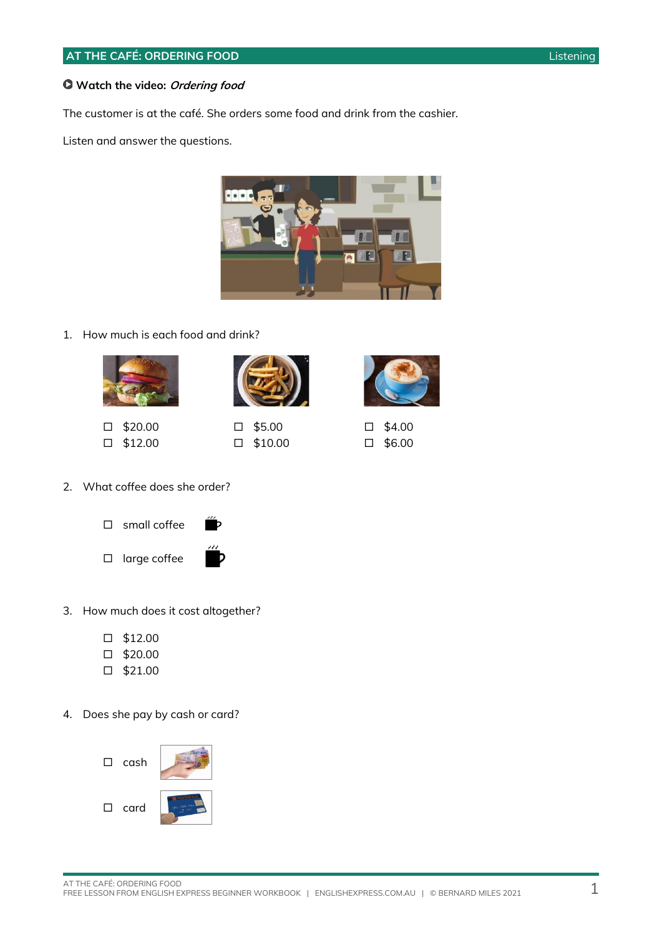### **Watch the video: Ordering food**

The customer is at the café. She orders some food and drink from the cashier.

Listen and answer the questions.



### 1. How much is each food and drink?





- $\Box$  \$20.00  $\square$  \$12.00
- $\square$  \$5.00

 $\square$  \$10.00



 $\square$  \$4.00  $\square$  \$6.00

- 2. What coffee does she order?
	- $\square$  small coffee
	- $\square$  large coffee
- 
- 3. How much does it cost altogether?
	- $\square$  \$12.00
	- $\Box$  \$20.00
	- $\square$  \$21.00
- 4. Does she pay by cash or card?

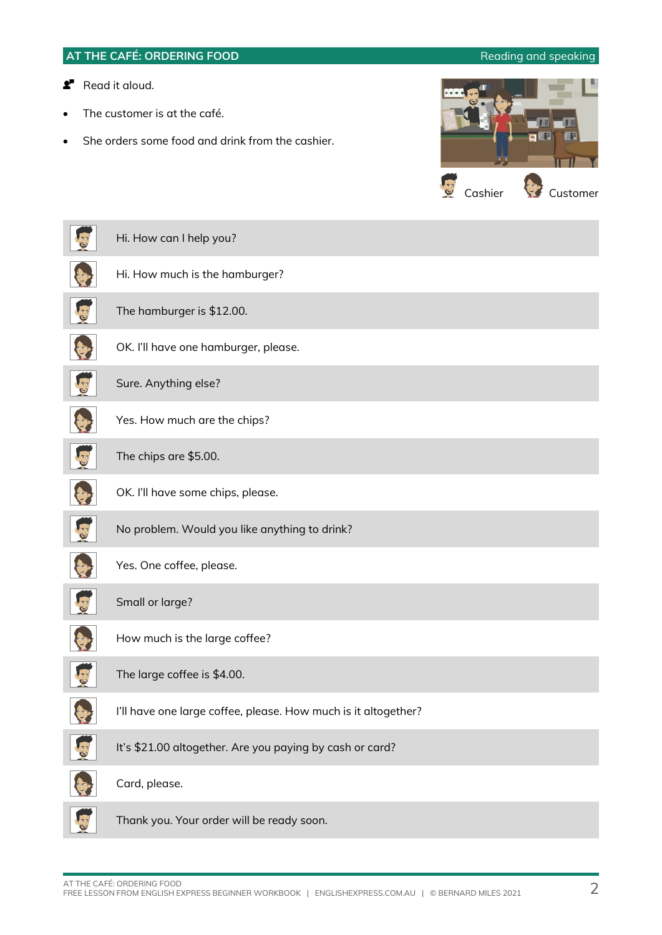# **AT THE CAFÉ: ORDERING FOOD Reading and speaking** and speaking **Read it aloud.** The customer is at the café. She orders some food and drink from the cashier. Cashier Customer Hi. How can I help you? Hi. How much is the hamburger? The hamburger is \$12.00. OK. I'll have one hamburger, please. Sure. Anything else? Yes. How much are the chips? The chips are \$5.00. OK. I'll have some chips, please. No problem. Would you like anything to drink? Yes. One coffee, please. Small or large? How much is the large coffee? The large coffee is \$4.00. I'll have one large coffee, please. How much is it altogether? It's \$21.00 altogether. Are you paying by cash or card? Card, please.

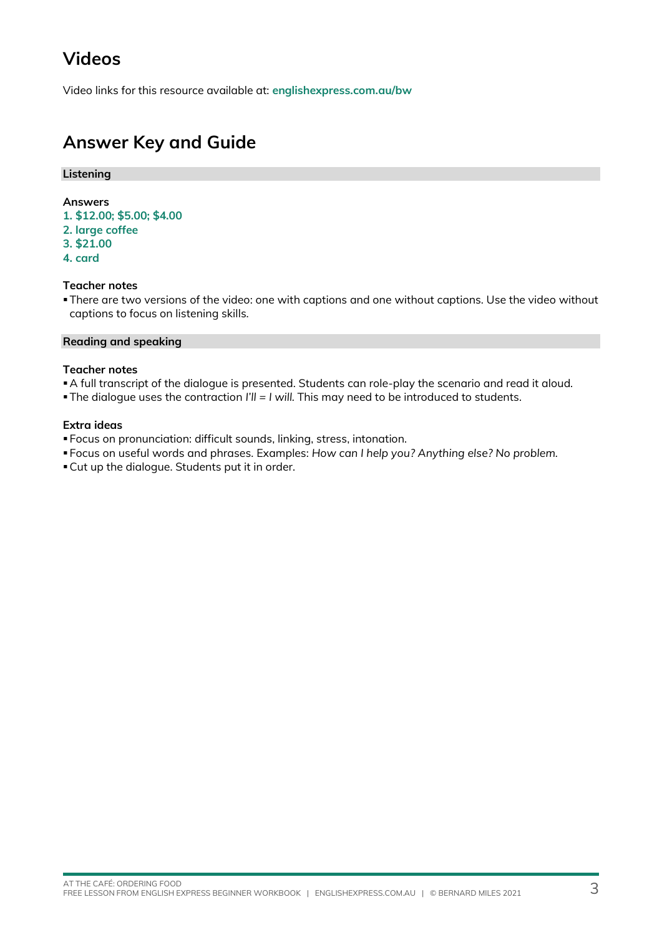# **Videos**

Video links for this resource available at: **[englishexpress.com.au/bw](https://www.englishexpress.com.au/bw)**

# **Answer Key and Guide**

### **Listening**

### **Answers**

- **1. \$12.00; \$5.00; \$4.00**
- **2. large coffee**
- **3. \$21.00**
- **4. card**

## **Teacher notes**

**There are two versions of the video: one with captions and one without captions. Use the video without** captions to focus on listening skills.

### **Reading and speaking**

#### **Teacher notes**

▪A full transcript of the dialogue is presented. Students can role-play the scenario and read it aloud.

▪The dialogue uses the contraction *I'll = I will.* This may need to be introduced to students.

### **Extra ideas**

▪ Focus on pronunciation: difficult sounds, linking, stress, intonation.

- Focus on useful words and phrases. Examples: *How can I help you? Anything else? No problem.*
- ▪Cut up the dialogue. Students put it in order.